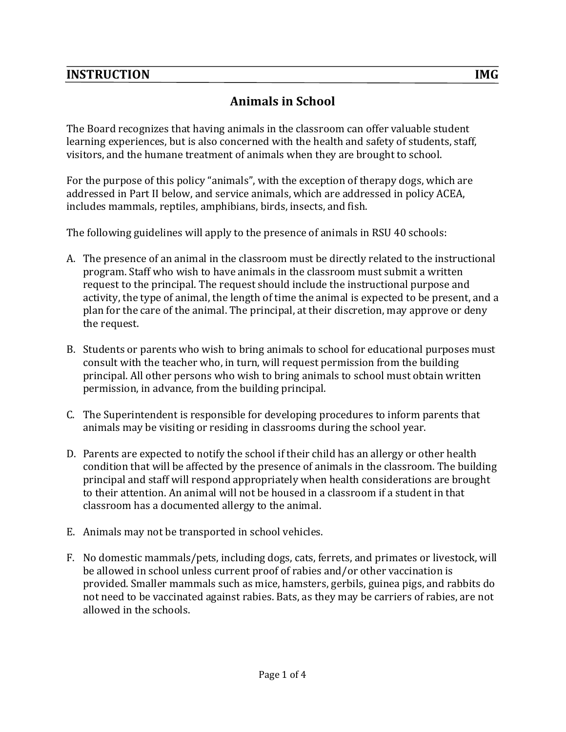## **INSTRUCTION REPORTS IN THE REPORT OF A REPORT OF A REPORT OF A REPORT OF A REPORT OF A REPORT OF A REPORT OF A**

# Animals in School

The Board recognizes that having animals in the classroom can offer valuable student learning experiences, but is also concerned with the health and safety of students, staff, visitors, and the humane treatment of animals when they are brought to school.

For the purpose of this policy "animals", with the exception of therapy dogs, which are addressed in Part II below, and service animals, which are addressed in policy ACEA, includes mammals, reptiles, amphibians, birds, insects, and fish.

The following guidelines will apply to the presence of animals in RSU 40 schools:

- A. The presence of an animal in the classroom must be directly related to the instructional program. Staff who wish to have animals in the classroom must submit a written request to the principal. The request should include the instructional purpose and activity, the type of animal, the length of time the animal is expected to be present, and a plan for the care of the animal. The principal, at their discretion, may approve or deny the request.
- B. Students or parents who wish to bring animals to school for educational purposes must consult with the teacher who, in turn, will request permission from the building principal. All other persons who wish to bring animals to school must obtain written permission, in advance, from the building principal.
- C. The Superintendent is responsible for developing procedures to inform parents that animals may be visiting or residing in classrooms during the school year.
- D. Parents are expected to notify the school if their child has an allergy or other health condition that will be affected by the presence of animals in the classroom. The building principal and staff will respond appropriately when health considerations are brought to their attention. An animal will not be housed in a classroom if a student in that classroom has a documented allergy to the animal.
- E. Animals may not be transported in school vehicles.
- F. No domestic mammals/pets, including dogs, cats, ferrets, and primates or livestock, will be allowed in school unless current proof of rabies and/or other vaccination is provided. Smaller mammals such as mice, hamsters, gerbils, guinea pigs, and rabbits do not need to be vaccinated against rabies. Bats, as they may be carriers of rabies, are not allowed in the schools.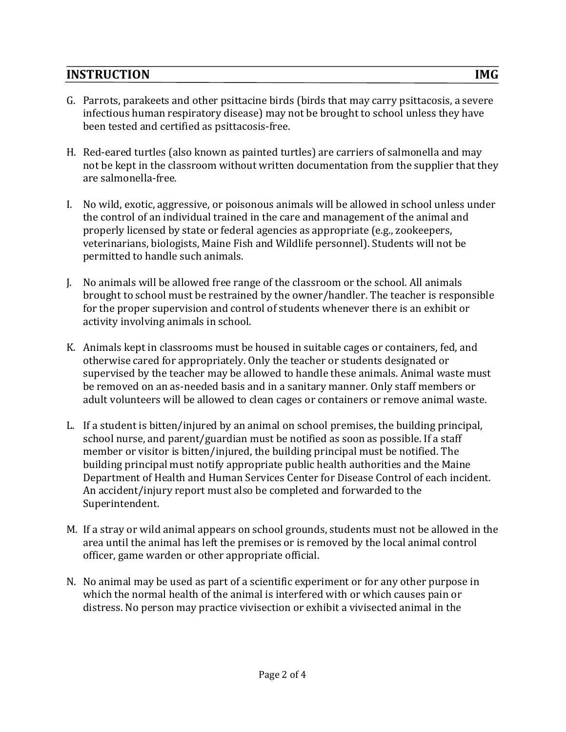## **INSTRUCTION REPORTS IN THE REPORT OF A REPORT OF A REPORT OF A REPORT OF A REPORT OF A REPORT OF A REPORT OF A**

- G. Parrots, parakeets and other psittacine birds (birds that may carry psittacosis, a severe infectious human respiratory disease) may not be brought to school unless they have been tested and certified as psittacosis-free.
- H. Red-eared turtles (also known as painted turtles) are carriers of salmonella and may not be kept in the classroom without written documentation from the supplier that they are salmonella-free.
- I. No wild, exotic, aggressive, or poisonous animals will be allowed in school unless under the control of an individual trained in the care and management of the animal and properly licensed by state or federal agencies as appropriate (e.g., zookeepers, veterinarians, biologists, Maine Fish and Wildlife personnel). Students will not be permitted to handle such animals.
- J. No animals will be allowed free range of the classroom or the school. All animals brought to school must be restrained by the owner/handler. The teacher is responsible for the proper supervision and control of students whenever there is an exhibit or activity involving animals in school.
- K. Animals kept in classrooms must be housed in suitable cages or containers, fed, and otherwise cared for appropriately. Only the teacher or students designated or supervised by the teacher may be allowed to handle these animals. Animal waste must be removed on an as-needed basis and in a sanitary manner. Only staff members or adult volunteers will be allowed to clean cages or containers or remove animal waste.
- L. If a student is bitten/injured by an animal on school premises, the building principal, school nurse, and parent/guardian must be notified as soon as possible. If a staff member or visitor is bitten/injured, the building principal must be notified. The building principal must notify appropriate public health authorities and the Maine Department of Health and Human Services Center for Disease Control of each incident. An accident/injury report must also be completed and forwarded to the Superintendent.
- M. If a stray or wild animal appears on school grounds, students must not be allowed in the area until the animal has left the premises or is removed by the local animal control officer, game warden or other appropriate official.
- N. No animal may be used as part of a scientific experiment or for any other purpose in which the normal health of the animal is interfered with or which causes pain or distress. No person may practice vivisection or exhibit a vivisected animal in the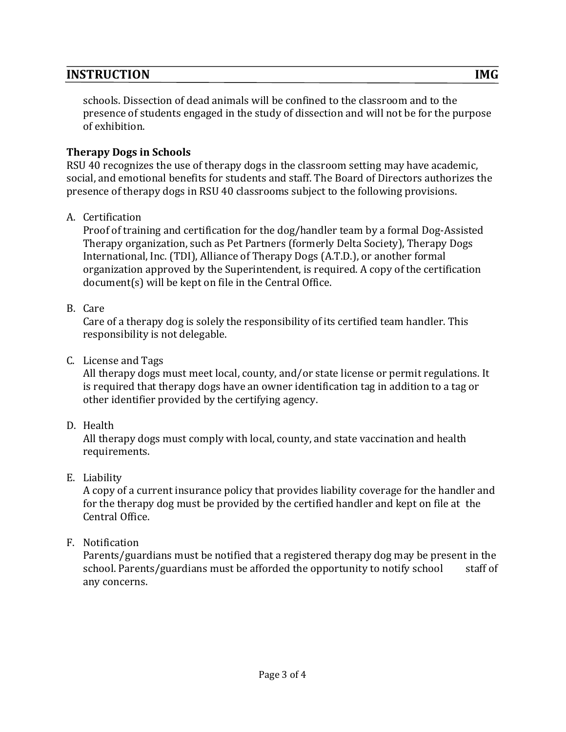### **INSTRUCTION REPORTS IN THE REPORT OF A REPORT OF A REPORT OF A REPORT OF A REPORT OF A REPORT OF A REPORT OF A**

schools. Dissection of dead animals will be confined to the classroom and to the presence of students engaged in the study of dissection and will not be for the purpose of exhibition.

#### **Therapy Dogs in Schools**

RSU 40 recognizes the use of therapy dogs in the classroom setting may have academic, social, and emotional benefits for students and staff. The Board of Directors authorizes the presence of therapy dogs in RSU 40 classrooms subject to the following provisions.

#### A. Certification

Proof of training and certification for the dog/handler team by a formal Dog-Assisted Therapy organization, such as Pet Partners (formerly Delta Society), Therapy Dogs International, Inc. (TDI), Alliance of Therapy Dogs (A.T.D.), or another formal organization approved by the Superintendent, is required. A copy of the certification  $document(s)$  will be kept on file in the Central Office.

#### B. Care

Care of a therapy dog is solely the responsibility of its certified team handler. This responsibility is not delegable.

C. License and Tags

All therapy dogs must meet local, county, and/or state license or permit regulations. It is required that therapy dogs have an owner identification tag in addition to a tag or other identifier provided by the certifying agency.

D. Health

All therapy dogs must comply with local, county, and state vaccination and health requirements.

### E. Liability

A copy of a current insurance policy that provides liability coverage for the handler and for the therapy dog must be provided by the certified handler and kept on file at the Central Office.

### F. Notification

Parents/guardians must be notified that a registered therapy dog may be present in the school. Parents/guardians must be afforded the opportunity to notify school staff of any concerns.